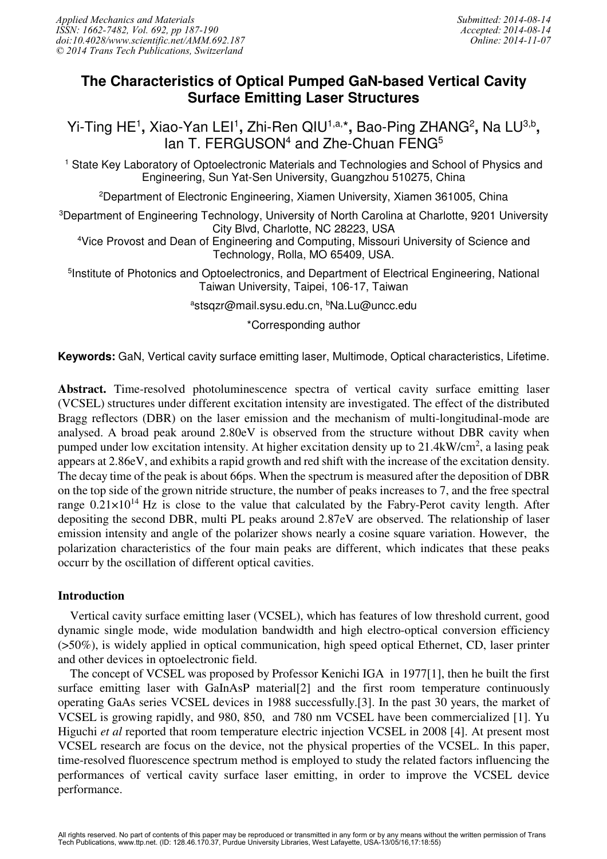# **The Characteristics of Optical Pumped GaN-based Vertical Cavity Surface Emitting Laser Structures**

Yi-Ting HE<sup>1</sup>, Xiao-Yan LEI<sup>1</sup>, Zhi-Ren QIU<sup>1,a,\*</sup>, Bao-Ping ZHANG<sup>2</sup>, Na LU<sup>3,b</sup>, lan T. FERGUSON<sup>4</sup> and Zhe-Chuan FENG<sup>5</sup>

<sup>1</sup> State Key Laboratory of Optoelectronic Materials and Technologies and School of Physics and Engineering, Sun Yat-Sen University, Guangzhou 510275, China

<sup>2</sup>Department of Electronic Engineering, Xiamen University, Xiamen 361005, China

<sup>3</sup>Department of Engineering Technology, University of North Carolina at Charlotte, 9201 University City Blvd, Charlotte, NC 28223, USA

<sup>4</sup>Vice Provost and Dean of Engineering and Computing, Missouri University of Science and Technology, Rolla, MO 65409, USA.

<sup>5</sup>Institute of Photonics and Optoelectronics, and Department of Electrical Engineering, National Taiwan University, Taipei, 106-17, Taiwan

<sup>a</sup>stsqzr@mail.sysu.edu.cn, <sup>b</sup>Na.Lu@uncc.edu

\*Corresponding author

**Keywords:** GaN, Vertical cavity surface emitting laser, Multimode, Optical characteristics, Lifetime.

Abstract. Time-resolved photoluminescence spectra of vertical cavity surface emitting laser (VCSEL) structures under different excitation intensity are investigated. The effect of the distributed Bragg reflectors (DBR) on the laser emission and the mechanism of multi-longitudinal-mode are analysed. A broad peak around 2.80eV is observed from the structure without DBR cavity when pumped under low excitation intensity. At higher excitation density up to 21.4kW/cm<sup>2</sup>, a lasing peak appears at 2.86eV, and exhibits a rapid growth and red shift with the increase of the excitation density. The decay time of the peak is about 66ps. When the spectrum is measured after the deposition of DBR on the top side of the grown nitride structure, the number of peaks increases to 7, and the free spectral range  $0.21 \times 10^{14}$  Hz is close to the value that calculated by the Fabry-Perot cavity length. After depositing the second DBR, multi PL peaks around 2.87eV are observed. The relationship of laser emission intensity and angle of the polarizer shows nearly a cosine square variation. However, the polarization characteristics of the four main peaks are different, which indicates that these peaks occurr by the oscillation of different optical cavities.

## Introduction

Vertical cavity surface emitting laser (VCSEL), which has features of low threshold current, good dynamic single mode, wide modulation bandwidth and high electro-optical conversion efficiency (>50%), is widely applied in optical communication, high speed optical Ethernet, CD, laser printer and other devices in optoelectronic field.

The concept of VCSEL was proposed by Professor Kenichi IGA in 1977[1], then he built the first surface emitting laser with GaInAsP material [2] and the first room temperature continuously operating GaAs series VCSEL devices in 1988 successfully.[3]. In the past 30 years, the market of VCSEL is growing rapidly, and 980, 850, and 780 nm VCSEL have been commercialized [1]. Yu Higuchi *et al* reported that room temperature electric injection VCSEL in 2008 [4]. At present most VCSEL research are focus on the device, not the physical properties of the VCSEL. In this paper, time-resolved fluorescence spectrum method is employed to study the related factors influencing the performances of vertical cavity surface laser emitting, in order to improve the VCSEL device performance.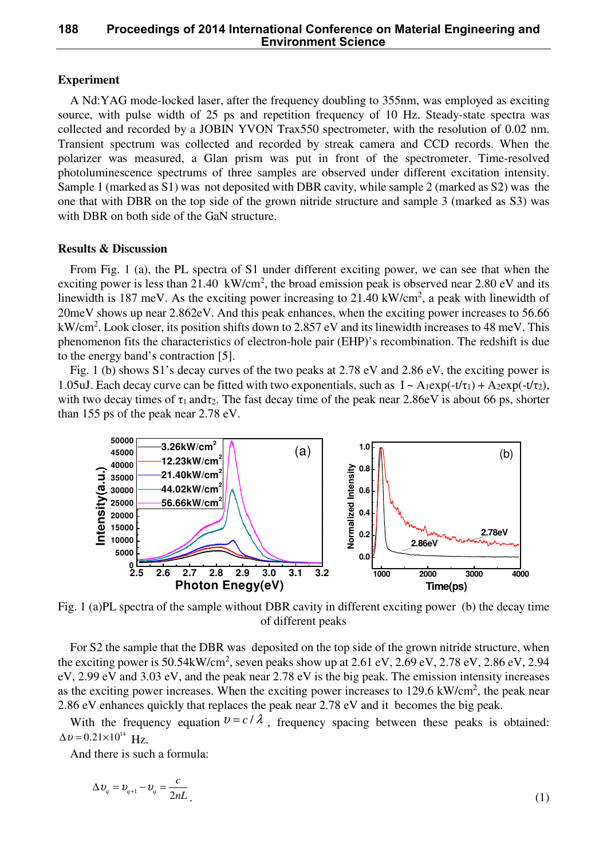## **188 Proceedings of 2014 International Conference on Material Engineering and Environment Science**

#### Experiment

A Nd:YAG mode-locked laser, after the frequency doubling to 355nm, was employed as exciting source, with pulse width of 25 ps and repetition frequency of 10 Hz. Steady-state spectra was collected and recorded by a JOBIN YVON Trax550 spectrometer, with the resolution of 0.02 nm. Transient spectrum was collected and recorded by streak camera and CCD records. When the polarizer was measured, a Glan prism was put in front of the spectrometer. Time-resolved photoluminescence spectrums of three samples are observed under different excitation intensity. Sample 1 (marked as S1) was not deposited with DBR cavity, while sample 2 (marked as S2) was the one that with DBR on the top side of the grown nitride structure and sample 3 (marked as S3) was with DBR on both side of the GaN structure.

#### Results & Discussion

From Fig. 1 (a), the PL spectra of S1 under different exciting power, we can see that when the exciting power is less than 21.40  $\text{ kW/cm}^2$ , the broad emission peak is observed near 2.80 eV and its linewidth is 187 meV. As the exciting power increasing to 21.40 kW/cm<sup>2</sup>, a peak with linewidth of 20meV shows up near 2.862eV. And this peak enhances, when the exciting power increases to 56.66 kW/cm<sup>2</sup>. Look closer, its position shifts down to 2.857 eV and its linewidth increases to 48 meV. This phenomenon fits the characteristics of electron-hole pair (EHP)'s recombination. The redshift is due to the energy band's contraction [5].

Fig. 1 (b) shows S1's decay curves of the two peaks at 2.78 eV and 2.86 eV, the exciting power is 1.05uJ. Each decay curve can be fitted with two exponentials, such as  $I \sim A_1 \exp(-t/\tau_1) + A_2 \exp(-t/\tau_2)$ , with two decay times of  $\tau_1$  and  $\tau_2$ . The fast decay time of the peak near 2.86eV is about 66 ps, shorter than 155 ps of the peak near 2.78 eV.



Fig. 1 (a)PL spectra of the sample without DBR cavity in different exciting power (b) the decay time of different peaks

For S2 the sample that the DBR was deposited on the top side of the grown nitride structure, when the exciting power is  $50.54 \text{kW/cm}^2$ , seven peaks show up at  $2.61 \text{ eV}$ ,  $2.69 \text{ eV}$ ,  $2.78 \text{ eV}$ ,  $2.86 \text{ eV}$ ,  $2.94 \text{ eV}$ eV, 2.99 eV and 3.03 eV, and the peak near 2.78 eV is the big peak. The emission intensity increases as the exciting power increases. When the exciting power increases to  $129.6 \text{ kW/cm}^2$ , the peak near 2.86 eV enhances quickly that replaces the peak near 2.78 eV and it becomes the big peak.

With the frequency equation  $v = c / \lambda$ , frequency spacing between these peaks is obtained:  $\Delta v = 0.21 \times 10^{14}$  Hz.

And there is such a formula:

$$
\Delta v_q = v_{q+1} - v_q = \frac{c}{2nL} \tag{1}
$$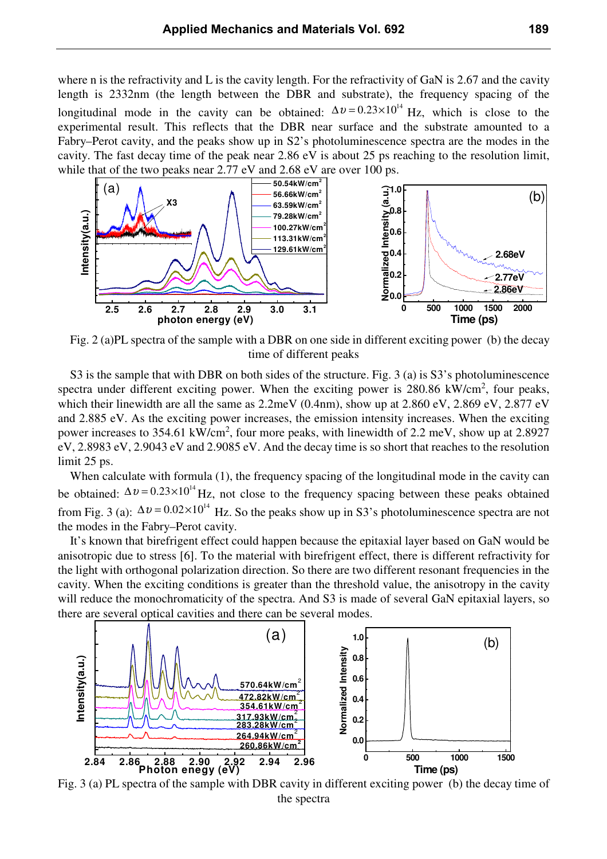where n is the refractivity and L is the cavity length. For the refractivity of GaN is 2.67 and the cavity length is 2332nm (the length between the DBR and substrate), the frequency spacing of the longitudinal mode in the cavity can be obtained:  $\Delta v = 0.23 \times 10^{14}$  Hz, which is close to the experimental result. This reflects that the DBR near surface and the substrate amounted to a Fabry–Perot cavity, and the peaks show up in S2's photoluminescence spectra are the modes in the cavity. The fast decay time of the peak near 2.86 eV is about 25 ps reaching to the resolution limit, while that of the two peaks near 2.77 eV and 2.68 eV are over 100 ps.



Fig. 2 (a)PL spectra of the sample with a DBR on one side in different exciting power (b) the decay time of different peaks

S3 is the sample that with DBR on both sides of the structure. Fig. 3 (a) is S3's photoluminescence spectra under different exciting power. When the exciting power is  $280.86 \text{ kW/cm}^2$ , four peaks, which their linewidth are all the same as  $2.2$ meV (0.4nm), show up at  $2.860$  eV,  $2.869$  eV,  $2.877$  eV and 2.885 eV. As the exciting power increases, the emission intensity increases. When the exciting power increases to 354.61 kW/cm<sup>2</sup>, four more peaks, with linewidth of 2.2 meV, show up at 2.8927 eV, 2.8983 eV, 2.9043 eV and 2.9085 eV. And the decay time is so short that reaches to the resolution limit 25 ps.

When calculate with formula (1), the frequency spacing of the longitudinal mode in the cavity can be obtained:  $\Delta v = 0.23 \times 10^{14}$  Hz, not close to the frequency spacing between these peaks obtained from Fig. 3 (a):  $\Delta v = 0.02 \times 10^{14}$  Hz. So the peaks show up in S3's photoluminescence spectra are not the modes in the Fabry–Perot cavity.

It's known that birefrigent effect could happen because the epitaxial layer based on GaN would be anisotropic due to stress [6]. To the material with birefrigent effect, there is different refractivity for the light with orthogonal polarization direction. So there are two different resonant frequencies in the cavity. When the exciting conditions is greater than the threshold value, the anisotropy in the cavity will reduce the monochromaticity of the spectra. And S3 is made of several GaN epitaxial layers, so there are several optical cavities and there can be several modes.



Fig. 3 (a) PL spectra of the sample with DBR cavity in different exciting power (b) the decay time of the spectra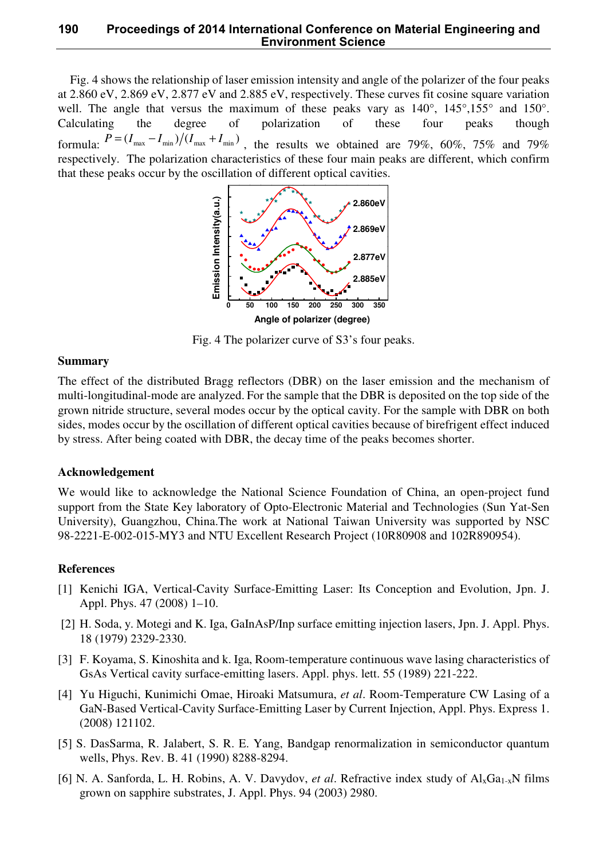## **190 Proceedings of 2014 International Conference on Material Engineering and Environment Science**

Fig. 4 shows the relationship of laser emission intensity and angle of the polarizer of the four peaks at 2.860 eV, 2.869 eV, 2.877 eV and 2.885 eV, respectively. These curves fit cosine square variation well. The angle that versus the maximum of these peaks vary as  $140^{\circ}$ ,  $145^{\circ}$ ,  $155^{\circ}$  and  $150^{\circ}$ . Calculating the degree of polarization of these four peaks though formula:  $P = (I_{\text{max}} - I_{\text{min}})/(I_{\text{max}} + I_{\text{min}})$ , the results we obtained are 79%, 60%, 75% and 79% respectively. The polarization characteristics of these four main peaks are different, which confirm that these peaks occur by the oscillation of different optical cavities.



Fig. 4 The polarizer curve of S3's four peaks.

## Summary

The effect of the distributed Bragg reflectors (DBR) on the laser emission and the mechanism of multi-longitudinal-mode are analyzed. For the sample that the DBR is deposited on the top side of the grown nitride structure, several modes occur by the optical cavity. For the sample with DBR on both sides, modes occur by the oscillation of different optical cavities because of birefrigent effect induced by stress. After being coated with DBR, the decay time of the peaks becomes shorter.

#### Acknowledgement

We would like to acknowledge the National Science Foundation of China, an open-project fund support from the State Key laboratory of Opto-Electronic Material and Technologies (Sun Yat-Sen University), Guangzhou, China.The work at National Taiwan University was supported by NSC 98-2221-E-002-015-MY3 and NTU Excellent Research Project (10R80908 and 102R890954).

#### References

- [1] Kenichi IGA, Vertical-Cavity Surface-Emitting Laser: Its Conception and Evolution, Jpn. J. Appl. Phys. 47 (2008) 1–10.
- [2] H. Soda, y. Motegi and K. Iga, GaInAsP/Inp surface emitting injection lasers, Jpn. J. Appl. Phys. 18 (1979) 2329-2330.
- [3] F. Koyama, S. Kinoshita and k. Iga, Room-temperature continuous wave lasing characteristics of GsAs Vertical cavity surface-emitting lasers. Appl. phys. lett. 55 (1989) 221-222.
- [4] Yu Higuchi, Kunimichi Omae, Hiroaki Matsumura, *et al*. Room-Temperature CW Lasing of a GaN-Based Vertical-Cavity Surface-Emitting Laser by Current Injection, Appl. Phys. Express 1. (2008) 121102.
- [5] S. DasSarma, R. Jalabert, S. R. E. Yang, Bandgap renormalization in semiconductor quantum wells, Phys. Rev. B. 41 (1990) 8288-8294.
- [6] N. A. Sanforda, L. H. Robins, A. V. Davydov, *et al.* Refractive index study of Al<sub>x</sub>Ga<sub>1-x</sub>N films grown on sapphire substrates, J. Appl. Phys. 94 (2003) 2980.